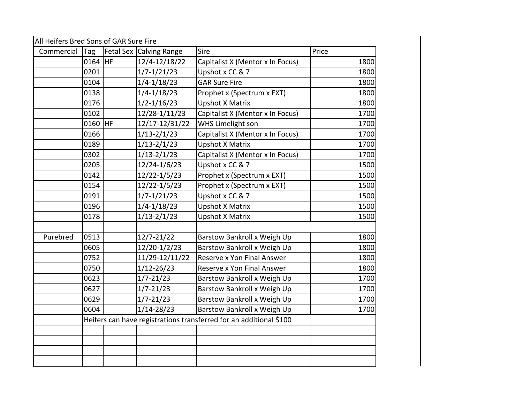All Heifers Bred Sons of GAR Sure Fire

| Commercial | Tag     |           | Fetal Sex Calving Range | Sire                                                               | Price |
|------------|---------|-----------|-------------------------|--------------------------------------------------------------------|-------|
|            | 0164 HF |           | 12/4-12/18/22           | Capitalist X (Mentor x In Focus)                                   | 1800  |
|            | 0201    |           | $1/7 - 1/21/23$         | Upshot x CC & 7                                                    | 1800  |
|            | 0104    |           | $1/4 - 1/18/23$         | <b>GAR Sure Fire</b>                                               | 1800  |
|            | 0138    |           | $1/4 - 1/18/23$         | Prophet x (Spectrum x EXT)                                         | 1800  |
|            | 0176    |           | $1/2 - 1/16/23$         | <b>Upshot X Matrix</b>                                             | 1800  |
|            | 0102    |           | 12/28-1/11/23           | Capitalist X (Mentor x In Focus)                                   | 1700  |
|            | 0160    | <b>HF</b> | 12/17-12/31/22          | WHS Limelight son                                                  | 1700  |
|            | 0166    |           | $1/13 - 2/1/23$         | Capitalist X (Mentor x In Focus)                                   | 1700  |
|            | 0189    |           | $1/13 - 2/1/23$         | <b>Upshot X Matrix</b>                                             | 1700  |
|            | 0302    |           | $1/13 - 2/1/23$         | Capitalist X (Mentor x In Focus)                                   | 1700  |
|            | 0205    |           | 12/24-1/6/23            | Upshot x CC & 7                                                    | 1500  |
|            | 0142    |           | 12/22-1/5/23            | Prophet x (Spectrum x EXT)                                         | 1500  |
|            | 0154    |           | 12/22-1/5/23            | Prophet x (Spectrum x EXT)                                         | 1500  |
|            | 0191    |           | $1/7 - 1/21/23$         | Upshot x CC & 7                                                    | 1500  |
|            | 0196    |           | $1/4 - 1/18/23$         | <b>Upshot X Matrix</b>                                             | 1500  |
|            | 0178    |           | $1/13 - 2/1/23$         | <b>Upshot X Matrix</b>                                             | 1500  |
|            |         |           |                         |                                                                    |       |
| Purebred   | 0513    |           | 12/7-21/22              | Barstow Bankroll x Weigh Up                                        | 1800  |
|            | 0605    |           | 12/20-1/2/23            | Barstow Bankroll x Weigh Up                                        | 1800  |
|            | 0752    |           | 11/29-12/11/22          | Reserve x Yon Final Answer                                         | 1800  |
|            | 0750    |           | $1/12 - 26/23$          | Reserve x Yon Final Answer                                         | 1800  |
|            | 0623    |           | $1/7 - 21/23$           | Barstow Bankroll x Weigh Up                                        | 1700  |
|            | 0627    |           | $1/7 - 21/23$           | Barstow Bankroll x Weigh Up                                        | 1700  |
|            | 0629    |           | $1/7 - 21/23$           | Barstow Bankroll x Weigh Up                                        | 1700  |
|            | 0604    |           | $1/14 - 28/23$          | Barstow Bankroll x Weigh Up                                        | 1700  |
|            |         |           |                         | Heifers can have registrations transferred for an additional \$100 |       |
|            |         |           |                         |                                                                    |       |
|            |         |           |                         |                                                                    |       |
|            |         |           |                         |                                                                    |       |
|            |         |           |                         |                                                                    |       |